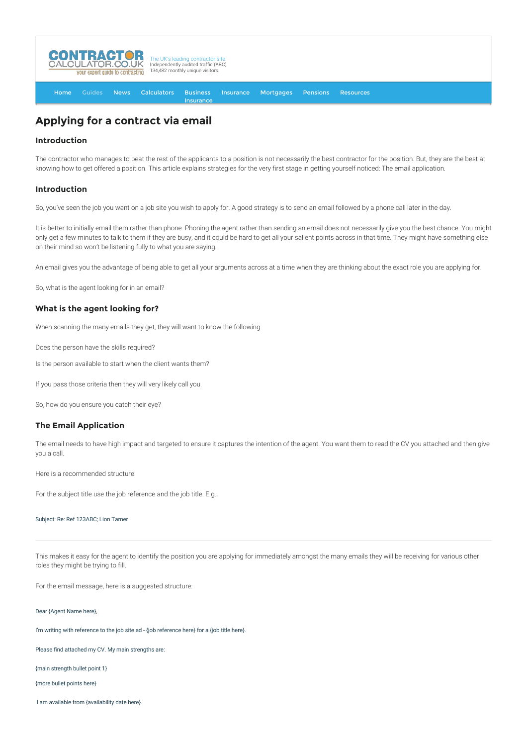

[Home](http://www.contractorcalculator.co.uk/) [Guides](http://www.contractorcalculator.co.uk/Articles.aspx) [News](http://www.contractorcalculator.co.uk/Contractor_News.aspx) [Calculators](http://www.contractorcalculator.co.uk/Calculators.aspx) Business **[Insurance](http://www.contractorcalculator.co.uk/Contractor_Insurances.aspx)** [Insurance](http://www.contractorcalculator.co.uk/Insurance.aspx) [Mortgages](http://www.contractorcalculator.co.uk/Contractor_Mortgages.aspx) [Pensions](http://www.contractorcalculator.co.uk/Contractor_Pensions.aspx) [Resources](http://www.contractorcalculator.co.uk/Contractor_Resources.aspx)

# **Applying for a contract via email**

## **Introduction**

The contractor who manages to beat the rest of the applicants to a position is not necessarily the best contractor for the position. But, they are the best at knowing how to get offered a position. This article explains strategies for the very first stage in getting yourself noticed: The email application.

## **Introduction**

So, you've seen the job you want on a job site you wish to apply for. A good strategy is to send an email followed by a phone call later in the day.

It is better to initially email them rather than phone. Phoning the agent rather than sending an email does not necessarily give you the best chance. You might only get a few minutes to talk to them if they are busy, and it could be hard to get all your salient points across in that time. They might have something else on their mind so won't be listening fully to what you are saying.

An email gives you the advantage of being able to get all your arguments across at a time when they are thinking about the exact role you are applying for.

So, what is the agent looking for in an email?

### **What is the agent looking for?**

When scanning the many emails they get, they will want to know the following:

Does the person have the skills required?

Is the person available to start when the client wants them?

If you pass those criteria then they will very likely call you.

So, how do you ensure you catch their eye?

### **The Email Application**

The email needs to have high impact and targeted to ensure it captures the intention of the agent. You want them to read the CV you attached and then give you a call.

Here is a recommended structure:

For the subject title use the job reference and the job title. E.g.

Subject: Re: Ref 123ABC; Lion Tamer

This makes it easy for the agent to identify the position you are applying for immediately amongst the many emails they will be receiving for various other roles they might be trying to fill.

For the email message, here is a suggested structure:

Dear {Agent Name here},

I'm writing with reference to the job site ad - {job reference here} for a {job title here}.

Please find attached my CV. My main strengths are:

{main strength bullet point 1}

{more bullet points here}

I am available from {availability date here}.